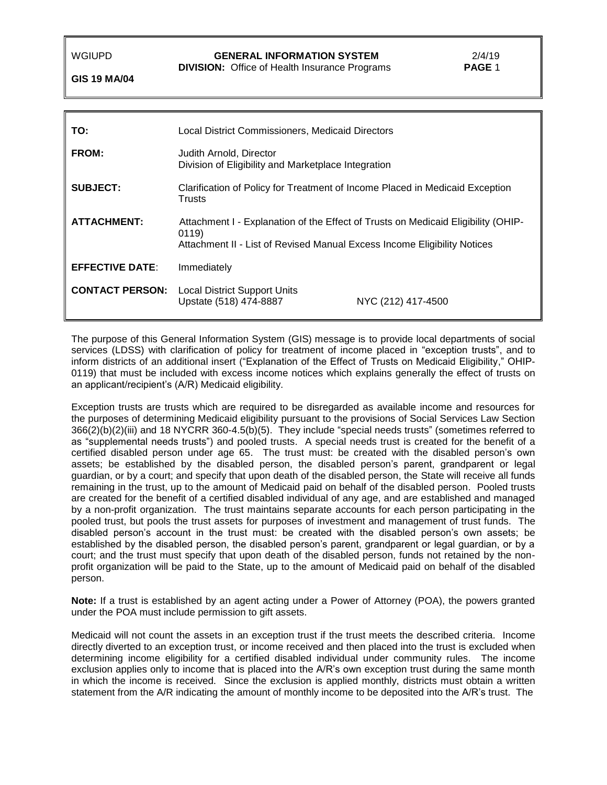**DIVISION:** Office of Health Insurance Programs **PAGE** 1

**GIS 19 MA/04**

| TO:                    | Local District Commissioners, Medicaid Directors                                                                                                                       |                    |
|------------------------|------------------------------------------------------------------------------------------------------------------------------------------------------------------------|--------------------|
| FROM:                  | Judith Arnold, Director<br>Division of Eligibility and Marketplace Integration                                                                                         |                    |
| <b>SUBJECT:</b>        | Clarification of Policy for Treatment of Income Placed in Medicaid Exception<br>Trusts                                                                                 |                    |
| <b>ATTACHMENT:</b>     | Attachment I - Explanation of the Effect of Trusts on Medicaid Eligibility (OHIP-<br>0119)<br>Attachment II - List of Revised Manual Excess Income Eligibility Notices |                    |
| <b>EFFECTIVE DATE:</b> | Immediately                                                                                                                                                            |                    |
| <b>CONTACT PERSON:</b> | <b>Local District Support Units</b><br>Upstate (518) 474-8887                                                                                                          | NYC (212) 417-4500 |

The purpose of this General Information System (GIS) message is to provide local departments of social services (LDSS) with clarification of policy for treatment of income placed in "exception trusts", and to inform districts of an additional insert ("Explanation of the Effect of Trusts on Medicaid Eligibility," OHIP-0119) that must be included with excess income notices which explains generally the effect of trusts on an applicant/recipient's (A/R) Medicaid eligibility.

Exception trusts are trusts which are required to be disregarded as available income and resources for the purposes of determining Medicaid eligibility pursuant to the provisions of Social Services Law Section 366(2)(b)(2)(iii) and 18 NYCRR 360-4.5(b)(5). They include "special needs trusts" (sometimes referred to as "supplemental needs trusts") and pooled trusts. A special needs trust is created for the benefit of a certified disabled person under age 65. The trust must: be created with the disabled person's own assets; be established by the disabled person, the disabled person's parent, grandparent or legal guardian, or by a court; and specify that upon death of the disabled person, the State will receive all funds remaining in the trust, up to the amount of Medicaid paid on behalf of the disabled person. Pooled trusts are created for the benefit of a certified disabled individual of any age, and are established and managed by a non-profit organization. The trust maintains separate accounts for each person participating in the pooled trust, but pools the trust assets for purposes of investment and management of trust funds. The disabled person's account in the trust must: be created with the disabled person's own assets; be established by the disabled person, the disabled person's parent, grandparent or legal guardian, or by a court; and the trust must specify that upon death of the disabled person, funds not retained by the nonprofit organization will be paid to the State, up to the amount of Medicaid paid on behalf of the disabled person.

**Note:** If a trust is established by an agent acting under a Power of Attorney (POA), the powers granted under the POA must include permission to gift assets.

Medicaid will not count the assets in an exception trust if the trust meets the described criteria. Income directly diverted to an exception trust, or income received and then placed into the trust is excluded when determining income eligibility for a certified disabled individual under community rules. The income exclusion applies only to income that is placed into the A/R's own exception trust during the same month in which the income is received. Since the exclusion is applied monthly, districts must obtain a written statement from the A/R indicating the amount of monthly income to be deposited into the A/R's trust. The